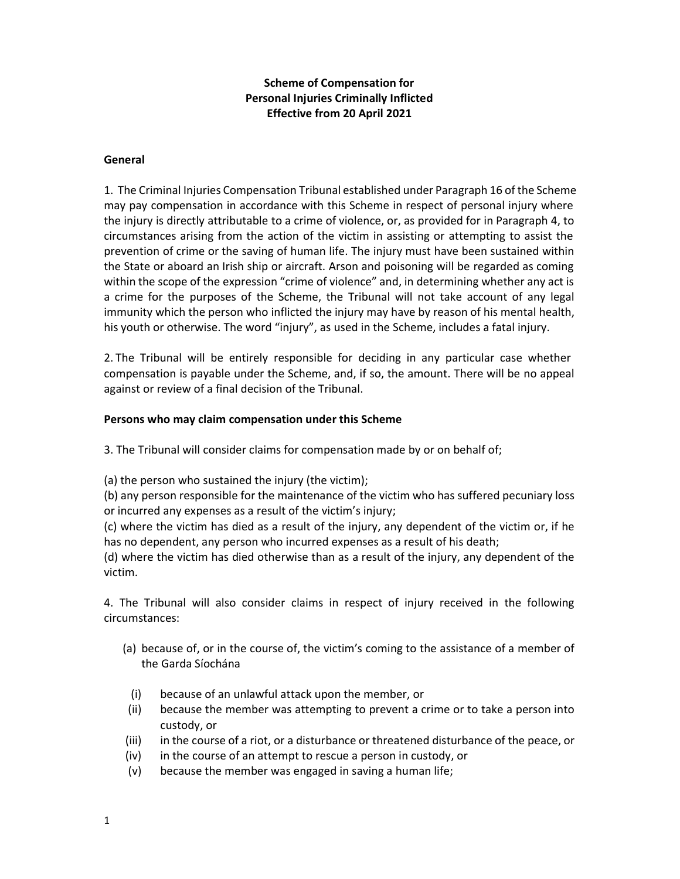# Scheme of Compensation for Personal Injuries Criminally Inflicted Effective from 20 April 2021

#### General

1. The Criminal Injuries Compensation Tribunal established under Paragraph 16 of the Scheme may pay compensation in accordance with this Scheme in respect of personal injury where the injury is directly attributable to a crime of violence, or, as provided for in Paragraph 4, to circumstances arising from the action of the victim in assisting or attempting to assist the prevention of crime or the saving of human life. The injury must have been sustained within the State or aboard an Irish ship or aircraft. Arson and poisoning will be regarded as coming within the scope of the expression "crime of violence" and, in determining whether any act is a crime for the purposes of the Scheme, the Tribunal will not take account of any legal immunity which the person who inflicted the injury may have by reason of his mental health, his youth or otherwise. The word "injury", as used in the Scheme, includes a fatal injury.

2. The Tribunal will be entirely responsible for deciding in any particular case whether compensation is payable under the Scheme, and, if so, the amount. There will be no appeal against or review of a final decision of the Tribunal.

#### Persons who may claim compensation under this Scheme

3. The Tribunal will consider claims for compensation made by or on behalf of;

(a) the person who sustained the injury (the victim);

(b) any person responsible for the maintenance of the victim who has suffered pecuniary loss or incurred any expenses as a result of the victim's injury;

(c) where the victim has died as a result of the injury, any dependent of the victim or, if he has no dependent, any person who incurred expenses as a result of his death;

(d) where the victim has died otherwise than as a result of the injury, any dependent of the victim.

4. The Tribunal will also consider claims in respect of injury received in the following circumstances:

- (a) because of, or in the course of, the victim's coming to the assistance of a member of the Garda Síochána
- (i) because of an unlawful attack upon the member, or
- (ii) because the member was attempting to prevent a crime or to take a person into custody, or
- (iii) in the course of a riot, or a disturbance or threatened disturbance of the peace, or
- (iv) in the course of an attempt to rescue a person in custody, or
- (v) because the member was engaged in saving a human life;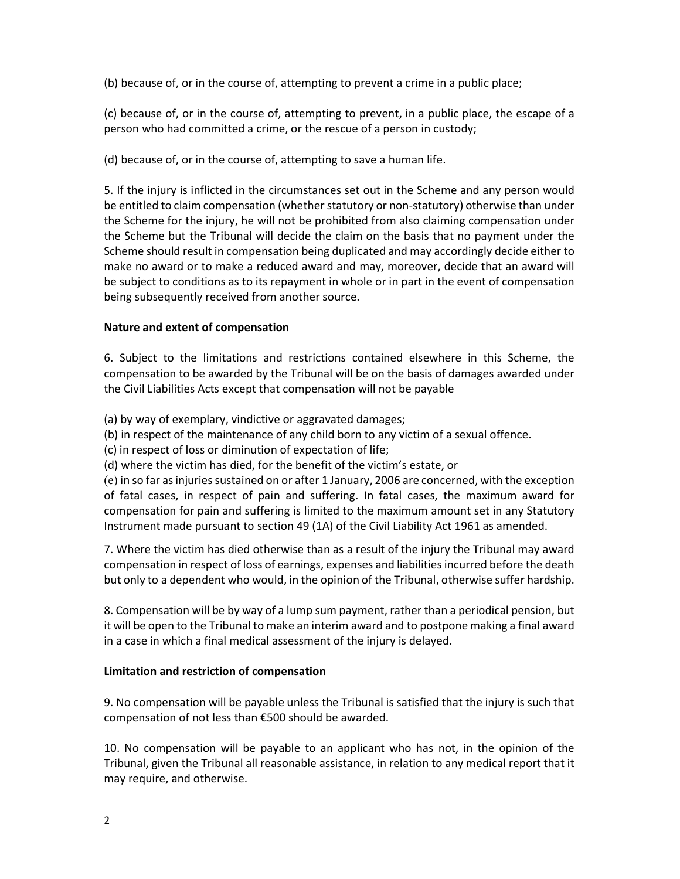(b) because of, or in the course of, attempting to prevent a crime in a public place;

(c) because of, or in the course of, attempting to prevent, in a public place, the escape of a person who had committed a crime, or the rescue of a person in custody;

(d) because of, or in the course of, attempting to save a human life.

5. If the injury is inflicted in the circumstances set out in the Scheme and any person would be entitled to claim compensation (whether statutory or non-statutory) otherwise than under the Scheme for the injury, he will not be prohibited from also claiming compensation under the Scheme but the Tribunal will decide the claim on the basis that no payment under the Scheme should result in compensation being duplicated and may accordingly decide either to make no award or to make a reduced award and may, moreover, decide that an award will be subject to conditions as to its repayment in whole or in part in the event of compensation being subsequently received from another source.

## Nature and extent of compensation

6. Subject to the limitations and restrictions contained elsewhere in this Scheme, the compensation to be awarded by the Tribunal will be on the basis of damages awarded under the Civil Liabilities Acts except that compensation will not be payable

(a) by way of exemplary, vindictive or aggravated damages;

(b) in respect of the maintenance of any child born to any victim of a sexual offence.

(c) in respect of loss or diminution of expectation of life;

(d) where the victim has died, for the benefit of the victim's estate, or

(e) in so far as injuries sustained on or after 1 January, 2006 are concerned, with the exception of fatal cases, in respect of pain and suffering. In fatal cases, the maximum award for compensation for pain and suffering is limited to the maximum amount set in any Statutory Instrument made pursuant to section 49 (1A) of the Civil Liability Act 1961 as amended.

7. Where the victim has died otherwise than as a result of the injury the Tribunal may award compensation in respect of loss of earnings, expenses and liabilities incurred before the death but only to a dependent who would, in the opinion of the Tribunal, otherwise suffer hardship.

8. Compensation will be by way of a lump sum payment, rather than a periodical pension, but it will be open to the Tribunal to make an interim award and to postpone making a final award in a case in which a final medical assessment of the injury is delayed.

## Limitation and restriction of compensation

9. No compensation will be payable unless the Tribunal is satisfied that the injury is such that compensation of not less than €500 should be awarded.

10. No compensation will be payable to an applicant who has not, in the opinion of the Tribunal, given the Tribunal all reasonable assistance, in relation to any medical report that it may require, and otherwise.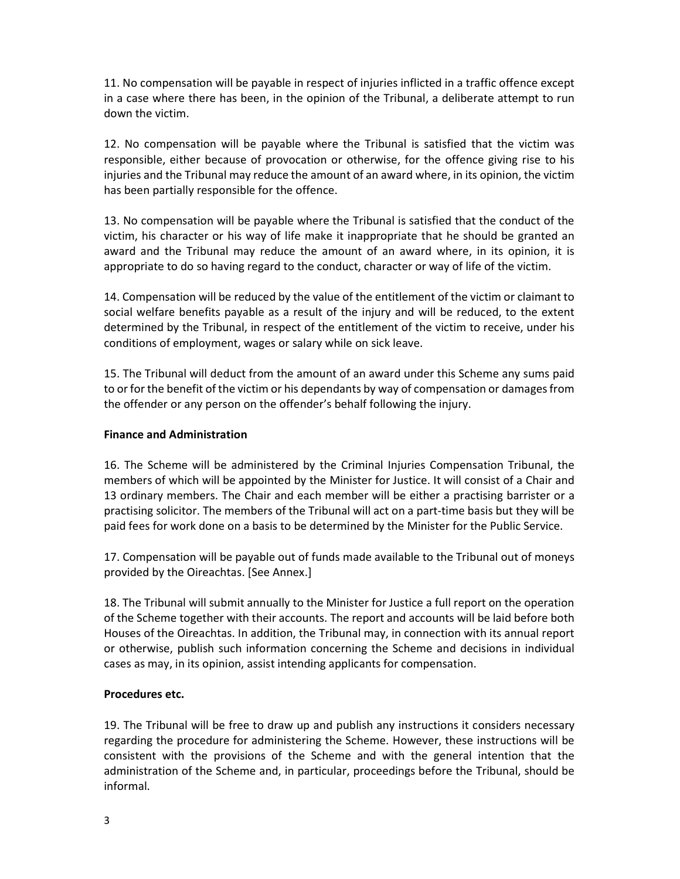11. No compensation will be payable in respect of injuries inflicted in a traffic offence except in a case where there has been, in the opinion of the Tribunal, a deliberate attempt to run down the victim.

12. No compensation will be payable where the Tribunal is satisfied that the victim was responsible, either because of provocation or otherwise, for the offence giving rise to his injuries and the Tribunal may reduce the amount of an award where, in its opinion, the victim has been partially responsible for the offence.

13. No compensation will be payable where the Tribunal is satisfied that the conduct of the victim, his character or his way of life make it inappropriate that he should be granted an award and the Tribunal may reduce the amount of an award where, in its opinion, it is appropriate to do so having regard to the conduct, character or way of life of the victim.

14. Compensation will be reduced by the value of the entitlement of the victim or claimant to social welfare benefits payable as a result of the injury and will be reduced, to the extent determined by the Tribunal, in respect of the entitlement of the victim to receive, under his conditions of employment, wages or salary while on sick leave.

15. The Tribunal will deduct from the amount of an award under this Scheme any sums paid to or for the benefit of the victim or his dependants by way of compensation or damages from the offender or any person on the offender's behalf following the injury.

#### Finance and Administration

16. The Scheme will be administered by the Criminal Injuries Compensation Tribunal, the members of which will be appointed by the Minister for Justice. It will consist of a Chair and 13 ordinary members. The Chair and each member will be either a practising barrister or a practising solicitor. The members of the Tribunal will act on a part-time basis but they will be paid fees for work done on a basis to be determined by the Minister for the Public Service.

17. Compensation will be payable out of funds made available to the Tribunal out of moneys provided by the Oireachtas. [See Annex.]

18. The Tribunal will submit annually to the Minister for Justice a full report on the operation of the Scheme together with their accounts. The report and accounts will be laid before both Houses of the Oireachtas. In addition, the Tribunal may, in connection with its annual report or otherwise, publish such information concerning the Scheme and decisions in individual cases as may, in its opinion, assist intending applicants for compensation.

#### Procedures etc.

19. The Tribunal will be free to draw up and publish any instructions it considers necessary regarding the procedure for administering the Scheme. However, these instructions will be consistent with the provisions of the Scheme and with the general intention that the administration of the Scheme and, in particular, proceedings before the Tribunal, should be informal.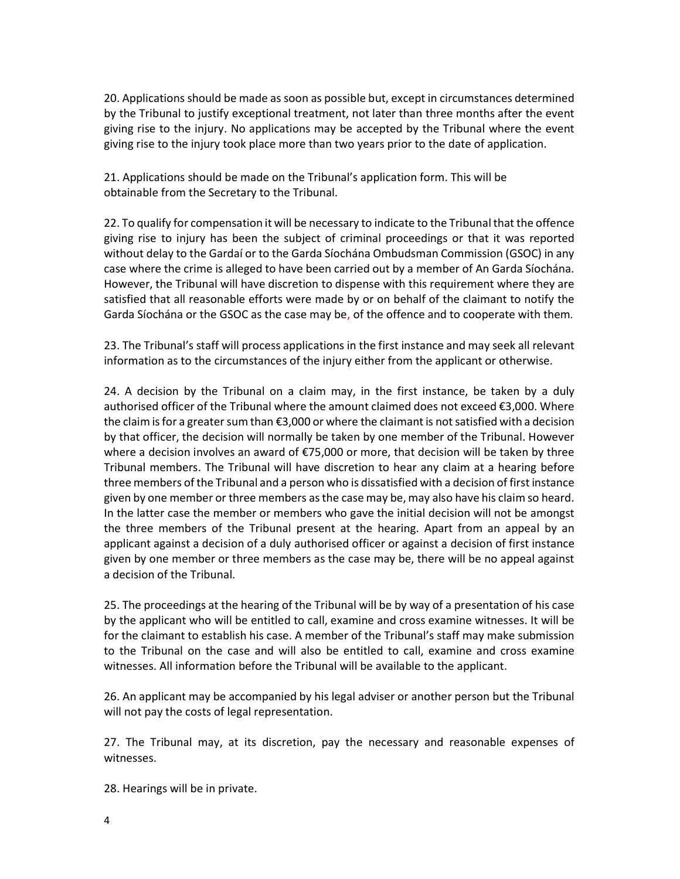20. Applications should be made as soon as possible but, except in circumstances determined by the Tribunal to justify exceptional treatment, not later than three months after the event giving rise to the injury. No applications may be accepted by the Tribunal where the event giving rise to the injury took place more than two years prior to the date of application.

21. Applications should be made on the Tribunal's application form. This will be obtainable from the Secretary to the Tribunal.

22. To qualify for compensation it will be necessary to indicate to the Tribunal that the offence giving rise to injury has been the subject of criminal proceedings or that it was reported without delay to the Gardaí or to the Garda Síochána Ombudsman Commission (GSOC) in any case where the crime is alleged to have been carried out by a member of An Garda Síochána. However, the Tribunal will have discretion to dispense with this requirement where they are satisfied that all reasonable efforts were made by or on behalf of the claimant to notify the Garda Síochána or the GSOC as the case may be, of the offence and to cooperate with them.

23. The Tribunal's staff will process applications in the first instance and may seek all relevant information as to the circumstances of the injury either from the applicant or otherwise.

24. A decision by the Tribunal on a claim may, in the first instance, be taken by a duly authorised officer of the Tribunal where the amount claimed does not exceed €3,000. Where the claim is for a greater sum than €3,000 or where the claimant is not satisfied with a decision by that officer, the decision will normally be taken by one member of the Tribunal. However where a decision involves an award of €75,000 or more, that decision will be taken by three Tribunal members. The Tribunal will have discretion to hear any claim at a hearing before three members of the Tribunal and a person who is dissatisfied with a decision of first instance given by one member or three members as the case may be, may also have his claim so heard. In the latter case the member or members who gave the initial decision will not be amongst the three members of the Tribunal present at the hearing. Apart from an appeal by an applicant against a decision of a duly authorised officer or against a decision of first instance given by one member or three members as the case may be, there will be no appeal against a decision of the Tribunal.

25. The proceedings at the hearing of the Tribunal will be by way of a presentation of his case by the applicant who will be entitled to call, examine and cross examine witnesses. It will be for the claimant to establish his case. A member of the Tribunal's staff may make submission to the Tribunal on the case and will also be entitled to call, examine and cross examine witnesses. All information before the Tribunal will be available to the applicant.

26. An applicant may be accompanied by his legal adviser or another person but the Tribunal will not pay the costs of legal representation.

27. The Tribunal may, at its discretion, pay the necessary and reasonable expenses of witnesses.

28. Hearings will be in private.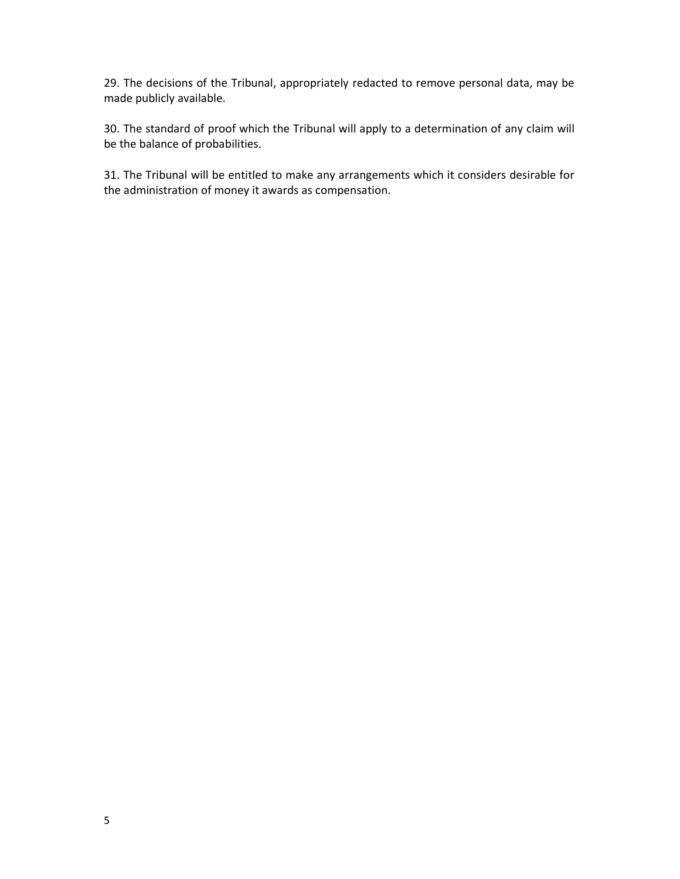29. The decisions of the Tribunal, appropriately redacted to remove personal data, may be made publicly available.

30. The standard of proof which the Tribunal will apply to a determination of any claim will be the balance of probabilities.

31. The Tribunal will be entitled to make any arrangements which it considers desirable for the administration of money it awards as compensation.